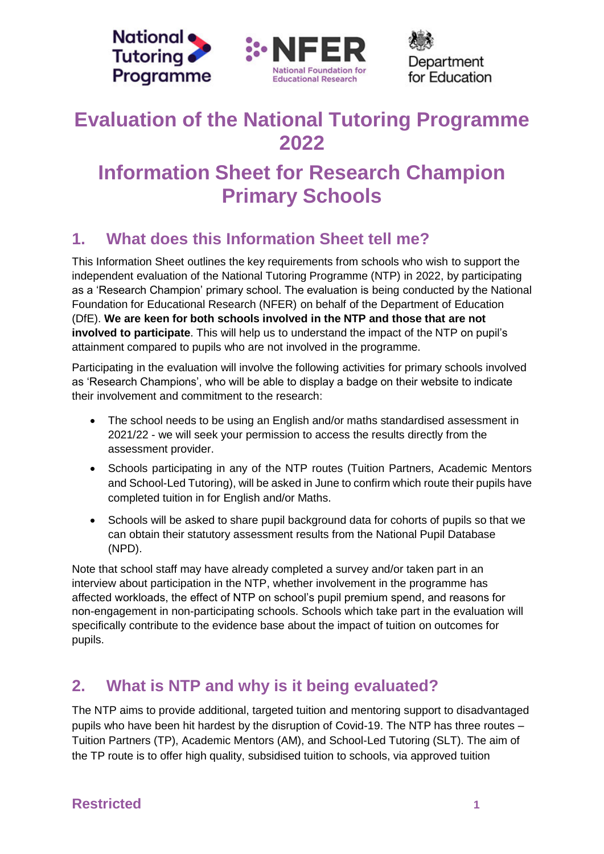



Department for Education

# **Evaluation of the National Tutoring Programme 2022**

# **Information Sheet for Research Champion Primary Schools**

# **1. What does this Information Sheet tell me?**

This Information Sheet outlines the key requirements from schools who wish to support the independent evaluation of the National Tutoring Programme (NTP) in 2022, by participating as a 'Research Champion' primary school. The evaluation is being conducted by the National Foundation for Educational Research (NFER) on behalf of the Department of Education (DfE). **We are keen for both schools involved in the NTP and those that are not involved to participate**. This will help us to understand the impact of the NTP on pupil's attainment compared to pupils who are not involved in the programme.

Participating in the evaluation will involve the following activities for primary schools involved as 'Research Champions', who will be able to display a badge on their website to indicate their involvement and commitment to the research:

- The school needs to be using an English and/or maths standardised assessment in 2021/22 - we will seek your permission to access the results directly from the assessment provider.
- Schools participating in any of the NTP routes (Tuition Partners, Academic Mentors and School-Led Tutoring), will be asked in June to confirm which route their pupils have completed tuition in for English and/or Maths.
- Schools will be asked to share pupil background data for cohorts of pupils so that we can obtain their statutory assessment results from the National Pupil Database (NPD).

Note that school staff may have already completed a survey and/or taken part in an interview about participation in the NTP, whether involvement in the programme has affected workloads, the effect of NTP on school's pupil premium spend, and reasons for non-engagement in non-participating schools. Schools which take part in the evaluation will specifically contribute to the evidence base about the impact of tuition on outcomes for pupils.

# **2. What is NTP and why is it being evaluated?**

The NTP aims to provide additional, targeted tuition and mentoring support to disadvantaged pupils who have been hit hardest by the disruption of Covid-19. The NTP has three routes – Tuition Partners (TP), Academic Mentors (AM), and School-Led Tutoring (SLT). The aim of the TP route is to offer high quality, subsidised tuition to schools, via approved tuition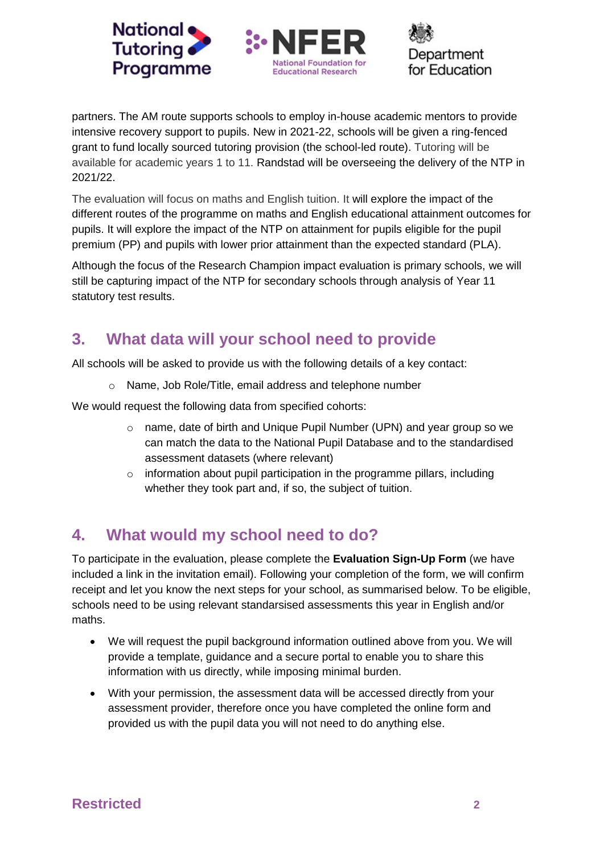





partners. The AM route supports schools to employ in-house academic mentors to provide intensive recovery support to pupils. New in 2021-22, schools will be given a ring-fenced grant to fund locally sourced tutoring provision (the school-led route). Tutoring will be available for academic years 1 to 11. Randstad will be overseeing the delivery of the NTP in 2021/22.

The evaluation will focus on maths and English tuition. It will explore the impact of the different routes of the programme on maths and English educational attainment outcomes for pupils. It will explore the impact of the NTP on attainment for pupils eligible for the pupil premium (PP) and pupils with lower prior attainment than the expected standard (PLA).

Although the focus of the Research Champion impact evaluation is primary schools, we will still be capturing impact of the NTP for secondary schools through analysis of Year 11 statutory test results.

## **3. What data will your school need to provide**

All schools will be asked to provide us with the following details of a key contact:

o Name, Job Role/Title, email address and telephone number

We would request the following data from specified cohorts:

- $\circ$  name, date of birth and Unique Pupil Number (UPN) and year group so we can match the data to the National Pupil Database and to the standardised assessment datasets (where relevant)
- $\circ$  information about pupil participation in the programme pillars, including whether they took part and, if so, the subject of tuition.

### **4. What would my school need to do?**

To participate in the evaluation, please complete the **Evaluation Sign-Up Form** (we have included a link in the invitation email). Following your completion of the form, we will confirm receipt and let you know the next steps for your school, as summarised below. To be eligible, schools need to be using relevant standarsised assessments this year in English and/or maths.

- We will request the pupil background information outlined above from you. We will provide a template, guidance and a secure portal to enable you to share this information with us directly, while imposing minimal burden.
- With your permission, the assessment data will be accessed directly from your assessment provider, therefore once you have completed the online form and provided us with the pupil data you will not need to do anything else.